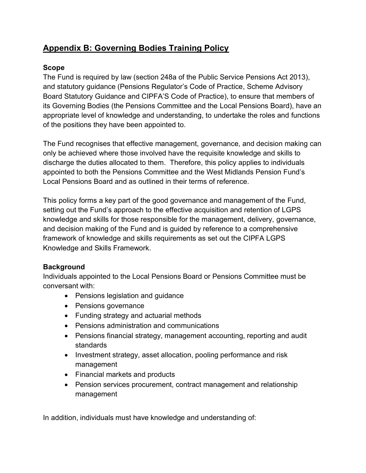# **Appendix B: Governing Bodies Training Policy**

## **Scope**

The Fund is required by law (section 248a of the Public Service Pensions Act 2013), and statutory guidance (Pensions Regulator's Code of Practice, Scheme Advisory Board Statutory Guidance and CIPFA'S Code of Practice), to ensure that members of its Governing Bodies (the Pensions Committee and the Local Pensions Board), have an appropriate level of knowledge and understanding, to undertake the roles and functions of the positions they have been appointed to.

The Fund recognises that effective management, governance, and decision making can only be achieved where those involved have the requisite knowledge and skills to discharge the duties allocated to them. Therefore, this policy applies to individuals appointed to both the Pensions Committee and the West Midlands Pension Fund's Local Pensions Board and as outlined in their terms of reference.

This policy forms a key part of the good governance and management of the Fund, setting out the Fund's approach to the effective acquisition and retention of LGPS knowledge and skills for those responsible for the management, delivery, governance, and decision making of the Fund and is guided by reference to a comprehensive framework of knowledge and skills requirements as set out the CIPFA LGPS Knowledge and Skills Framework.

## **Background**

Individuals appointed to the Local Pensions Board or Pensions Committee must be conversant with:

- Pensions legislation and guidance
- Pensions governance
- Funding strategy and actuarial methods
- Pensions administration and communications
- Pensions financial strategy, management accounting, reporting and audit standards
- Investment strategy, asset allocation, pooling performance and risk management
- Financial markets and products
- Pension services procurement, contract management and relationship management

In addition, individuals must have knowledge and understanding of: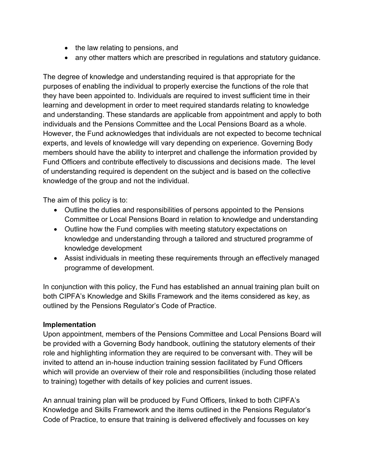- the law relating to pensions, and
- any other matters which are prescribed in regulations and statutory guidance.

The degree of knowledge and understanding required is that appropriate for the purposes of enabling the individual to properly exercise the functions of the role that they have been appointed to. Individuals are required to invest sufficient time in their learning and development in order to meet required standards relating to knowledge and understanding. These standards are applicable from appointment and apply to both individuals and the Pensions Committee and the Local Pensions Board as a whole. However, the Fund acknowledges that individuals are not expected to become technical experts, and levels of knowledge will vary depending on experience. Governing Body members should have the ability to interpret and challenge the information provided by Fund Officers and contribute effectively to discussions and decisions made. The level of understanding required is dependent on the subject and is based on the collective knowledge of the group and not the individual.

The aim of this policy is to:

- Outline the duties and responsibilities of persons appointed to the Pensions Committee or Local Pensions Board in relation to knowledge and understanding
- Outline how the Fund complies with meeting statutory expectations on knowledge and understanding through a tailored and structured programme of knowledge development
- Assist individuals in meeting these requirements through an effectively managed programme of development.

In conjunction with this policy, the Fund has established an annual training plan built on both CIPFA's Knowledge and Skills Framework and the items considered as key, as outlined by the Pensions Regulator's Code of Practice.

### **Implementation**

Upon appointment, members of the Pensions Committee and Local Pensions Board will be provided with a Governing Body handbook, outlining the statutory elements of their role and highlighting information they are required to be conversant with. They will be invited to attend an in-house induction training session facilitated by Fund Officers which will provide an overview of their role and responsibilities (including those related to training) together with details of key policies and current issues.

An annual training plan will be produced by Fund Officers, linked to both CIPFA's Knowledge and Skills Framework and the items outlined in the Pensions Regulator's Code of Practice, to ensure that training is delivered effectively and focusses on key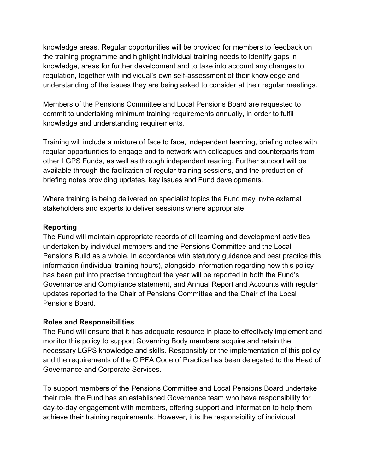knowledge areas. Regular opportunities will be provided for members to feedback on the training programme and highlight individual training needs to identify gaps in knowledge, areas for further development and to take into account any changes to regulation, together with individual's own self-assessment of their knowledge and understanding of the issues they are being asked to consider at their regular meetings.

Members of the Pensions Committee and Local Pensions Board are requested to commit to undertaking minimum training requirements annually, in order to fulfil knowledge and understanding requirements.

Training will include a mixture of face to face, independent learning, briefing notes with regular opportunities to engage and to network with colleagues and counterparts from other LGPS Funds, as well as through independent reading. Further support will be available through the facilitation of regular training sessions, and the production of briefing notes providing updates, key issues and Fund developments.

Where training is being delivered on specialist topics the Fund may invite external stakeholders and experts to deliver sessions where appropriate.

#### **Reporting**

The Fund will maintain appropriate records of all learning and development activities undertaken by individual members and the Pensions Committee and the Local Pensions Build as a whole. In accordance with statutory guidance and best practice this information (individual training hours), alongside information regarding how this policy has been put into practise throughout the year will be reported in both the Fund's Governance and Compliance statement, and Annual Report and Accounts with regular updates reported to the Chair of Pensions Committee and the Chair of the Local Pensions Board.

### **Roles and Responsibilities**

The Fund will ensure that it has adequate resource in place to effectively implement and monitor this policy to support Governing Body members acquire and retain the necessary LGPS knowledge and skills. Responsibly or the implementation of this policy and the requirements of the CIPFA Code of Practice has been delegated to the Head of Governance and Corporate Services.

To support members of the Pensions Committee and Local Pensions Board undertake their role, the Fund has an established Governance team who have responsibility for day-to-day engagement with members, offering support and information to help them achieve their training requirements. However, it is the responsibility of individual